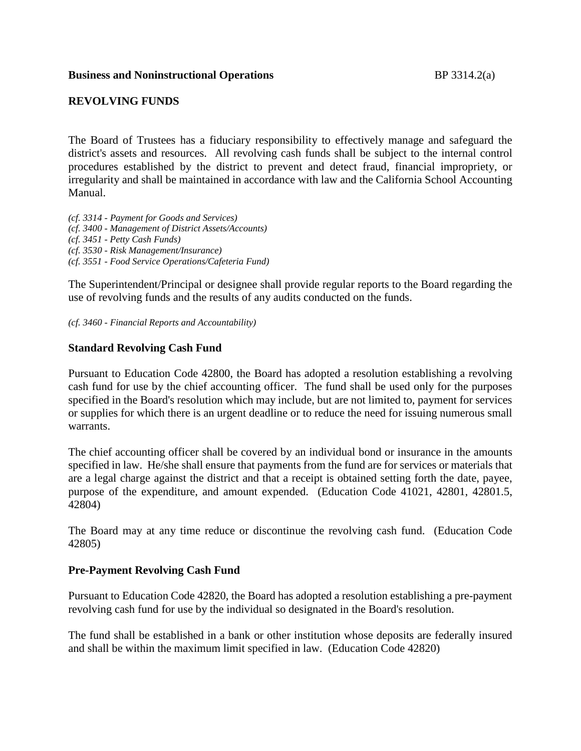# **Business and Noninstructional Operations** BP 3314.2(a)

# **REVOLVING FUNDS**

The Board of Trustees has a fiduciary responsibility to effectively manage and safeguard the district's assets and resources. All revolving cash funds shall be subject to the internal control procedures established by the district to prevent and detect fraud, financial impropriety, or irregularity and shall be maintained in accordance with law and the California School Accounting Manual.

*(cf. 3314 - Payment for Goods and Services) (cf. 3400 - Management of District Assets/Accounts) (cf. 3451 - Petty Cash Funds) (cf. 3530 - Risk Management/Insurance) (cf. 3551 - Food Service Operations/Cafeteria Fund)*

The Superintendent/Principal or designee shall provide regular reports to the Board regarding the use of revolving funds and the results of any audits conducted on the funds.

*(cf. 3460 - Financial Reports and Accountability)*

# **Standard Revolving Cash Fund**

Pursuant to Education Code 42800, the Board has adopted a resolution establishing a revolving cash fund for use by the chief accounting officer. The fund shall be used only for the purposes specified in the Board's resolution which may include, but are not limited to, payment for services or supplies for which there is an urgent deadline or to reduce the need for issuing numerous small warrants.

The chief accounting officer shall be covered by an individual bond or insurance in the amounts specified in law. He/she shall ensure that payments from the fund are for services or materials that are a legal charge against the district and that a receipt is obtained setting forth the date, payee, purpose of the expenditure, and amount expended. (Education Code 41021, 42801, 42801.5, 42804)

The Board may at any time reduce or discontinue the revolving cash fund. (Education Code 42805)

#### **Pre-Payment Revolving Cash Fund**

Pursuant to Education Code 42820, the Board has adopted a resolution establishing a pre-payment revolving cash fund for use by the individual so designated in the Board's resolution.

The fund shall be established in a bank or other institution whose deposits are federally insured and shall be within the maximum limit specified in law. (Education Code 42820)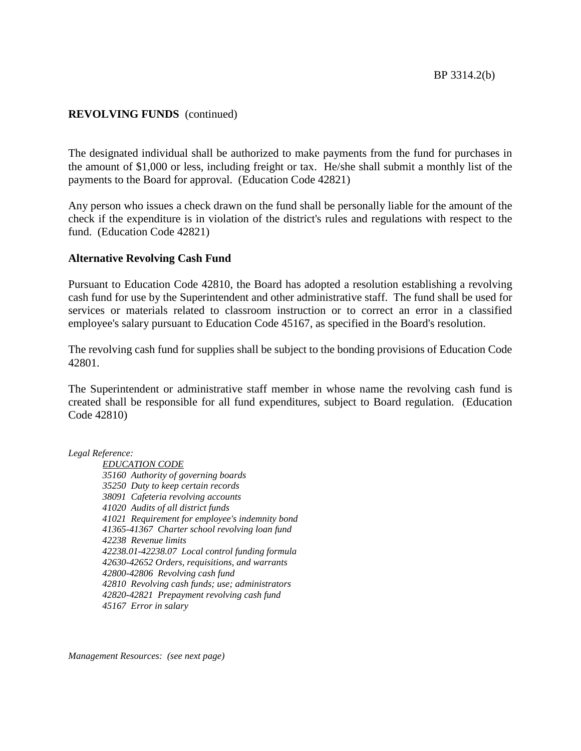# **REVOLVING FUNDS** (continued)

The designated individual shall be authorized to make payments from the fund for purchases in the amount of \$1,000 or less, including freight or tax. He/she shall submit a monthly list of the payments to the Board for approval. (Education Code 42821)

Any person who issues a check drawn on the fund shall be personally liable for the amount of the check if the expenditure is in violation of the district's rules and regulations with respect to the fund. (Education Code 42821)

#### **Alternative Revolving Cash Fund**

Pursuant to Education Code 42810, the Board has adopted a resolution establishing a revolving cash fund for use by the Superintendent and other administrative staff. The fund shall be used for services or materials related to classroom instruction or to correct an error in a classified employee's salary pursuant to Education Code 45167, as specified in the Board's resolution.

The revolving cash fund for supplies shall be subject to the bonding provisions of Education Code 42801.

The Superintendent or administrative staff member in whose name the revolving cash fund is created shall be responsible for all fund expenditures, subject to Board regulation. (Education Code 42810)

*Legal Reference:*

*EDUCATION CODE 35160 Authority of governing boards 35250 Duty to keep certain records 38091 Cafeteria revolving accounts 41020 Audits of all district funds 41021 Requirement for employee's indemnity bond 41365-41367 Charter school revolving loan fund 42238 Revenue limits 42238.01-42238.07 Local control funding formula 42630-42652 Orders, requisitions, and warrants 42800-42806 Revolving cash fund 42810 Revolving cash funds; use; administrators 42820-42821 Prepayment revolving cash fund 45167 Error in salary*

*Management Resources: (see next page)*